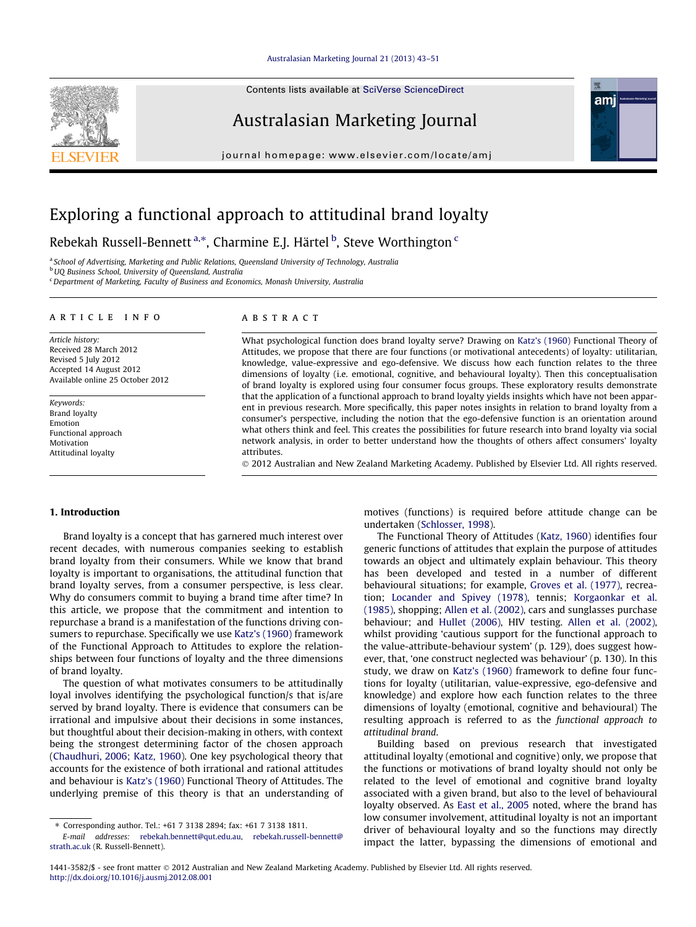# [Australasian Marketing Journal 21 \(2013\) 43–51](http://dx.doi.org/10.1016/j.ausmj.2012.08.001)

Contents lists available at [SciVerse ScienceDirect](http://www.sciencedirect.com/science/journal/14413582)

# Australasian Marketing Journal

journal homepage: [www.elsevier.com/locate/amj](http://www.elsevier.com/locate/amj)





# Exploring a functional approach to attitudinal brand loyalty

Rebekah Russell-Bennett <sup>a,\*</sup>, Charmine E.J. Härtel <sup>b</sup>, Steve Worthington <sup>c</sup>

a School of Advertising, Marketing and Public Relations, Queensland University of Technology, Australia

**b** UQ Business School, University of Queensland, Australia

<sup>c</sup> Department of Marketing, Faculty of Business and Economics, Monash University, Australia

#### article info

Article history: Received 28 March 2012 Revised 5 July 2012 Accepted 14 August 2012 Available online 25 October 2012

Keywords: Brand loyalty Emotion Functional approach Motivation Attitudinal loyalty

### ABSTRACT

What psychological function does brand loyalty serve? Drawing on [Katz's \(1960\)](#page--1-0) Functional Theory of Attitudes, we propose that there are four functions (or motivational antecedents) of loyalty: utilitarian, knowledge, value-expressive and ego-defensive. We discuss how each function relates to the three dimensions of loyalty (i.e. emotional, cognitive, and behavioural loyalty). Then this conceptualisation of brand loyalty is explored using four consumer focus groups. These exploratory results demonstrate that the application of a functional approach to brand loyalty yields insights which have not been apparent in previous research. More specifically, this paper notes insights in relation to brand loyalty from a consumer's perspective, including the notion that the ego-defensive function is an orientation around what others think and feel. This creates the possibilities for future research into brand loyalty via social network analysis, in order to better understand how the thoughts of others affect consumers' loyalty attributes.

- 2012 Australian and New Zealand Marketing Academy. Published by Elsevier Ltd. All rights reserved.

# 1. Introduction

Brand loyalty is a concept that has garnered much interest over recent decades, with numerous companies seeking to establish brand loyalty from their consumers. While we know that brand loyalty is important to organisations, the attitudinal function that brand loyalty serves, from a consumer perspective, is less clear. Why do consumers commit to buying a brand time after time? In this article, we propose that the commitment and intention to repurchase a brand is a manifestation of the functions driving consumers to repurchase. Specifically we use [Katz's \(1960\)](#page--1-0) framework of the Functional Approach to Attitudes to explore the relationships between four functions of loyalty and the three dimensions of brand loyalty.

The question of what motivates consumers to be attitudinally loyal involves identifying the psychological function/s that is/are served by brand loyalty. There is evidence that consumers can be irrational and impulsive about their decisions in some instances, but thoughtful about their decision-making in others, with context being the strongest determining factor of the chosen approach ([Chaudhuri, 2006; Katz, 1960\)](#page--1-0). One key psychological theory that accounts for the existence of both irrational and rational attitudes and behaviour is [Katz's \(1960\)](#page--1-0) Functional Theory of Attitudes. The underlying premise of this theory is that an understanding of

motives (functions) is required before attitude change can be undertaken ([Schlosser, 1998](#page--1-0)).

The Functional Theory of Attitudes ([Katz, 1960](#page--1-0)) identifies four generic functions of attitudes that explain the purpose of attitudes towards an object and ultimately explain behaviour. This theory has been developed and tested in a number of different behavioural situations; for example, [Groves et al. \(1977\),](#page--1-0) recreation; [Locander and Spivey \(1978\)](#page--1-0), tennis; [Korgaonkar et al.](#page--1-0) [\(1985\),](#page--1-0) shopping; [Allen et al. \(2002\)](#page--1-0), cars and sunglasses purchase behaviour; and [Hullet \(2006\),](#page--1-0) HIV testing. [Allen et al. \(2002\),](#page--1-0) whilst providing 'cautious support for the functional approach to the value-attribute-behaviour system' (p. 129), does suggest however, that, 'one construct neglected was behaviour' (p. 130). In this study, we draw on [Katz's \(1960\)](#page--1-0) framework to define four functions for loyalty (utilitarian, value-expressive, ego-defensive and knowledge) and explore how each function relates to the three dimensions of loyalty (emotional, cognitive and behavioural) The resulting approach is referred to as the functional approach to attitudinal brand.

Building based on previous research that investigated attitudinal loyalty (emotional and cognitive) only, we propose that the functions or motivations of brand loyalty should not only be related to the level of emotional and cognitive brand loyalty associated with a given brand, but also to the level of behavioural loyalty observed. As [East et al., 2005](#page--1-0) noted, where the brand has low consumer involvement, attitudinal loyalty is not an important driver of behavioural loyalty and so the functions may directly impact the latter, bypassing the dimensions of emotional and

<sup>⇑</sup> Corresponding author. Tel.: +61 7 3138 2894; fax: +61 7 3138 1811.

E-mail addresses: [rebekah.bennett@qut.edu.au](mailto:rebekah.bennett@qut.edu.au), [rebekah.russell-bennett@](mailto:rebekah.russell-bennett@strath.ac.uk) [strath.ac.uk](mailto:rebekah.russell-bennett@strath.ac.uk) (R. Russell-Bennett).

<sup>1441-3582/\$ -</sup> see front matter © 2012 Australian and New Zealand Marketing Academy. Published by Elsevier Ltd. All rights reserved. <http://dx.doi.org/10.1016/j.ausmj.2012.08.001>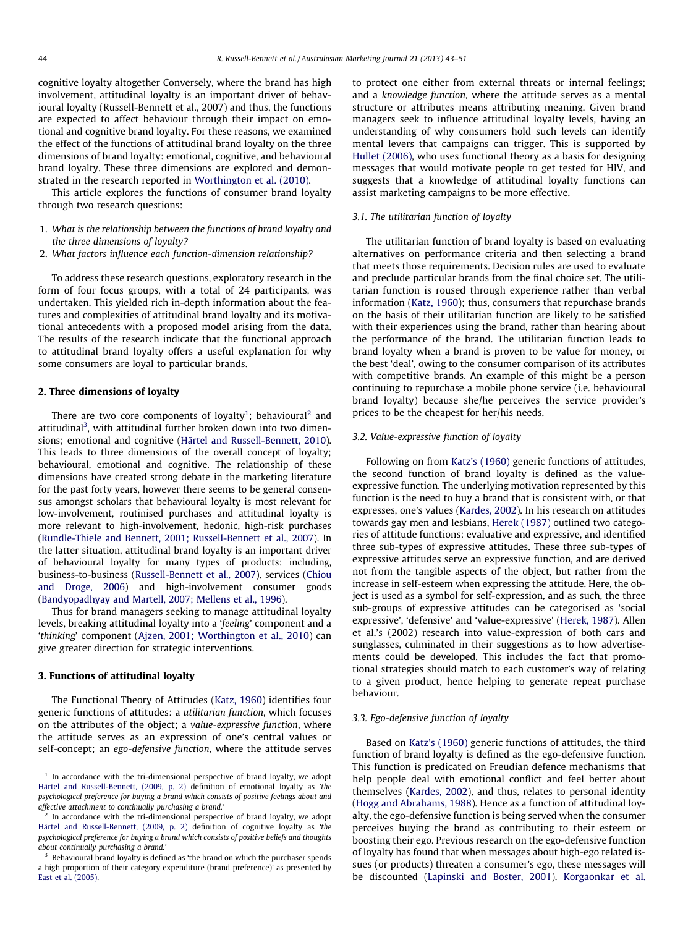cognitive loyalty altogether Conversely, where the brand has high involvement, attitudinal loyalty is an important driver of behavioural loyalty (Russell-Bennett et al., 2007) and thus, the functions are expected to affect behaviour through their impact on emotional and cognitive brand loyalty. For these reasons, we examined the effect of the functions of attitudinal brand loyalty on the three dimensions of brand loyalty: emotional, cognitive, and behavioural brand loyalty. These three dimensions are explored and demonstrated in the research reported in [Worthington et al. \(2010\)](#page--1-0).

This article explores the functions of consumer brand loyalty through two research questions:

- 1. What is the relationship between the functions of brand loyalty and the three dimensions of loyalty?
- 2. What factors influence each function-dimension relationship?

To address these research questions, exploratory research in the form of four focus groups, with a total of 24 participants, was undertaken. This yielded rich in-depth information about the features and complexities of attitudinal brand loyalty and its motivational antecedents with a proposed model arising from the data. The results of the research indicate that the functional approach to attitudinal brand loyalty offers a useful explanation for why some consumers are loyal to particular brands.

#### 2. Three dimensions of loyalty

There are two core components of loyalty<sup>1</sup>; behavioural<sup>2</sup> and attitudinal<sup>3</sup>, with attitudinal further broken down into two dimensions; emotional and cognitive ([Härtel and Russell-Bennett, 2010\)](#page--1-0). This leads to three dimensions of the overall concept of loyalty; behavioural, emotional and cognitive. The relationship of these dimensions have created strong debate in the marketing literature for the past forty years, however there seems to be general consensus amongst scholars that behavioural loyalty is most relevant for low-involvement, routinised purchases and attitudinal loyalty is more relevant to high-involvement, hedonic, high-risk purchases ([Rundle-Thiele and Bennett, 2001; Russell-Bennett et al., 2007](#page--1-0)). In the latter situation, attitudinal brand loyalty is an important driver of behavioural loyalty for many types of products: including, business-to-business ([Russell-Bennett et al., 2007](#page--1-0)), services [\(Chiou](#page--1-0) [and Droge, 2006\)](#page--1-0) and high-involvement consumer goods ([Bandyopadhyay and Martell, 2007; Mellens et al., 1996](#page--1-0)).

Thus for brand managers seeking to manage attitudinal loyalty levels, breaking attitudinal loyalty into a 'feeling' component and a 'thinking' component [\(Ajzen, 2001; Worthington et al., 2010\)](#page--1-0) can give greater direction for strategic interventions.

# 3. Functions of attitudinal loyalty

The Functional Theory of Attitudes ([Katz, 1960](#page--1-0)) identifies four generic functions of attitudes: a utilitarian function, which focuses on the attributes of the object; a value-expressive function, where the attitude serves as an expression of one's central values or self-concept; an ego-defensive function, where the attitude serves to protect one either from external threats or internal feelings; and a knowledge function, where the attitude serves as a mental structure or attributes means attributing meaning. Given brand managers seek to influence attitudinal loyalty levels, having an understanding of why consumers hold such levels can identify mental levers that campaigns can trigger. This is supported by [Hullet \(2006\),](#page--1-0) who uses functional theory as a basis for designing messages that would motivate people to get tested for HIV, and suggests that a knowledge of attitudinal loyalty functions can assist marketing campaigns to be more effective.

# 3.1. The utilitarian function of loyalty

The utilitarian function of brand loyalty is based on evaluating alternatives on performance criteria and then selecting a brand that meets those requirements. Decision rules are used to evaluate and preclude particular brands from the final choice set. The utilitarian function is roused through experience rather than verbal information [\(Katz, 1960](#page--1-0)); thus, consumers that repurchase brands on the basis of their utilitarian function are likely to be satisfied with their experiences using the brand, rather than hearing about the performance of the brand. The utilitarian function leads to brand loyalty when a brand is proven to be value for money, or the best 'deal', owing to the consumer comparison of its attributes with competitive brands. An example of this might be a person continuing to repurchase a mobile phone service (i.e. behavioural brand loyalty) because she/he perceives the service provider's prices to be the cheapest for her/his needs.

#### 3.2. Value-expressive function of loyalty

Following on from [Katz's \(1960\)](#page--1-0) generic functions of attitudes, the second function of brand loyalty is defined as the valueexpressive function. The underlying motivation represented by this function is the need to buy a brand that is consistent with, or that expresses, one's values ([Kardes, 2002](#page--1-0)). In his research on attitudes towards gay men and lesbians, [Herek \(1987\)](#page--1-0) outlined two categories of attitude functions: evaluative and expressive, and identified three sub-types of expressive attitudes. These three sub-types of expressive attitudes serve an expressive function, and are derived not from the tangible aspects of the object, but rather from the increase in self-esteem when expressing the attitude. Here, the object is used as a symbol for self-expression, and as such, the three sub-groups of expressive attitudes can be categorised as 'social expressive', 'defensive' and 'value-expressive' ([Herek, 1987\)](#page--1-0). Allen et al.'s (2002) research into value-expression of both cars and sunglasses, culminated in their suggestions as to how advertisements could be developed. This includes the fact that promotional strategies should match to each customer's way of relating to a given product, hence helping to generate repeat purchase behaviour.

# 3.3. Ego-defensive function of loyalty

Based on [Katz's \(1960\)](#page--1-0) generic functions of attitudes, the third function of brand loyalty is defined as the ego-defensive function. This function is predicated on Freudian defence mechanisms that help people deal with emotional conflict and feel better about themselves ([Kardes, 2002](#page--1-0)), and thus, relates to personal identity ([Hogg and Abrahams, 1988\)](#page--1-0). Hence as a function of attitudinal loyalty, the ego-defensive function is being served when the consumer perceives buying the brand as contributing to their esteem or boosting their ego. Previous research on the ego-defensive function of loyalty has found that when messages about high-ego related issues (or products) threaten a consumer's ego, these messages will be discounted [\(Lapinski and Boster, 2001](#page--1-0)). [Korgaonkar et al.](#page--1-0)

 $1$  In accordance with the tri-dimensional perspective of brand loyalty, we adopt [Härtel and Russell-Bennett, \(2009, p. 2\)](#page--1-0) definition of emotional loyalty as 'the psychological preference for buying a brand which consists of positive feelings about and affective attachment to continually purchasing a brand.'

In accordance with the tri-dimensional perspective of brand loyalty, we adopt [Härtel and Russell-Bennett, \(2009, p. 2\)](#page--1-0) definition of cognitive loyalty as 'the psychological preference for buying a brand which consists of positive beliefs and thoughts about continually purchasing a brand.'

<sup>&</sup>lt;sup>3</sup> Behavioural brand loyalty is defined as 'the brand on which the purchaser spends a high proportion of their category expenditure (brand preference)' as presented by [East et al. \(2005\)](#page--1-0).